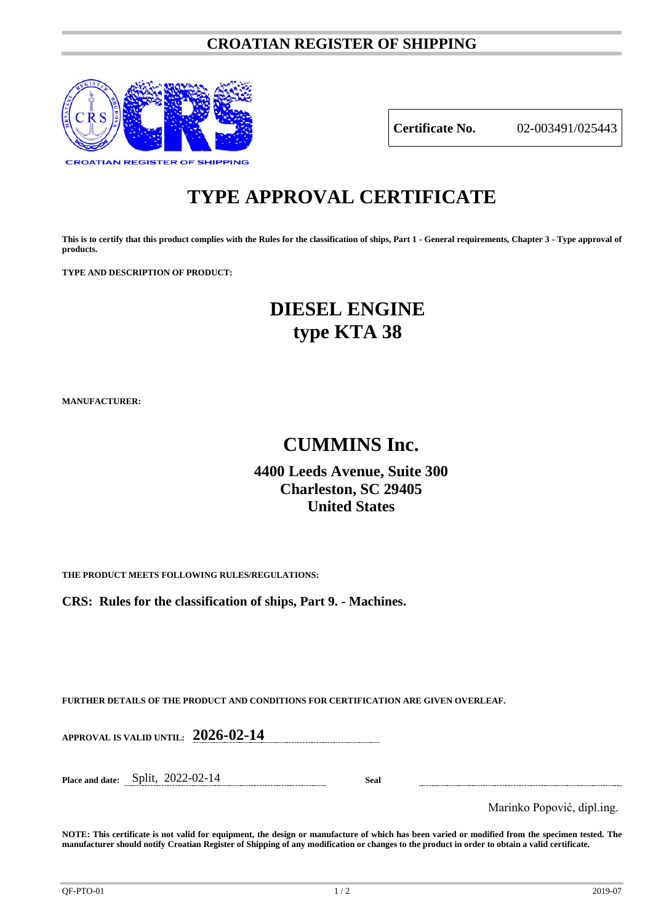### **CROATIAN REGISTER OF SHIPPING**



**Certificate No.** 02-003491/025443

# **TYPE APPROVAL CERTIFICATE**

**This is to certify that this product complies with the Rules for the classification of ships, Part 1 - General requirements, Chapter 3 - Type approval of products.**

**TYPE AND DESCRIPTION OF PRODUCT:** 

## **DIESEL ENGINE type KTA 38**

**MANUFACTURER:**

## **CUMMINS Inc.**

### **4400 Leeds Avenue, Suite 300 Charleston, SC 29405 United States**

**THE PRODUCT MEETS FOLLOWING RULES/REGULATIONS:**

**CRS: Rules for the classification of ships, Part 9. - Machines.**

**FURTHER DETAILS OF THE PRODUCT AND CONDITIONS FOR CERTIFICATION ARE GIVEN OVERLEAF.**

**APPROVAL IS VALID UNTIL: 2026-02-14**

**Place and date:** Split, 2022-02-14 **Seal**

Marinko Popović, dipl.ing.

**NOTE: This certificate is not valid for equipment, the design or manufacture of which has been varied or modified from the specimen tested. The manufacturer should notify Croatian Register of Shipping of any modification or changes to the product in order to obtain a valid certificate.**